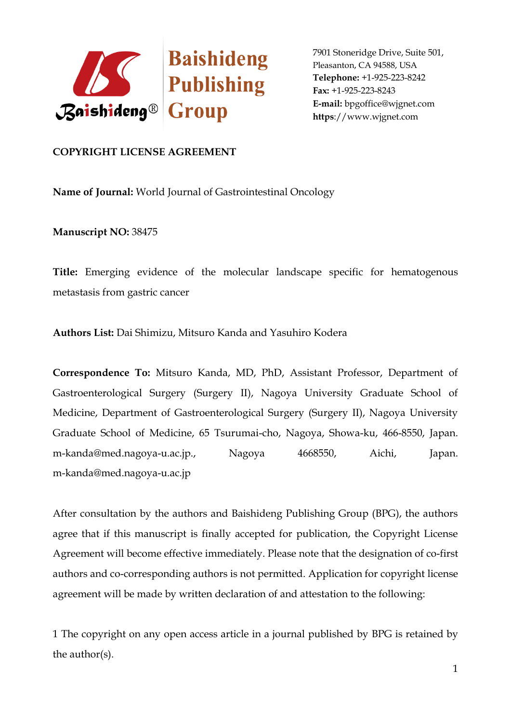

## **COPYRIGHT LICENSE AGREEMENT**

**Name of Journal:** World Journal of Gastrointestinal Oncology

**Manuscript NO:** 38475

**Title:** Emerging evidence of the molecular landscape specific for hematogenous metastasis from gastric cancer

**Authors List:** Dai Shimizu, Mitsuro Kanda and Yasuhiro Kodera

**Correspondence To:** Mitsuro Kanda, MD, PhD, Assistant Professor, Department of Gastroenterological Surgery (Surgery II), Nagoya University Graduate School of Medicine, Department of Gastroenterological Surgery (Surgery II), Nagoya University Graduate School of Medicine, 65 Tsurumai-cho, Nagoya, Showa-ku, 466-8550, Japan. m-kanda@med.nagoya-u.ac.jp., Nagoya 4668550, Aichi, Japan. m-kanda@med.nagoya-u.ac.jp

After consultation by the authors and Baishideng Publishing Group (BPG), the authors agree that if this manuscript is finally accepted for publication, the Copyright License Agreement will become effective immediately. Please note that the designation of co-first authors and co-corresponding authors is not permitted. Application for copyright license agreement will be made by written declaration of and attestation to the following:

1 The copyright on any open access article in a journal published by BPG is retained by the author(s).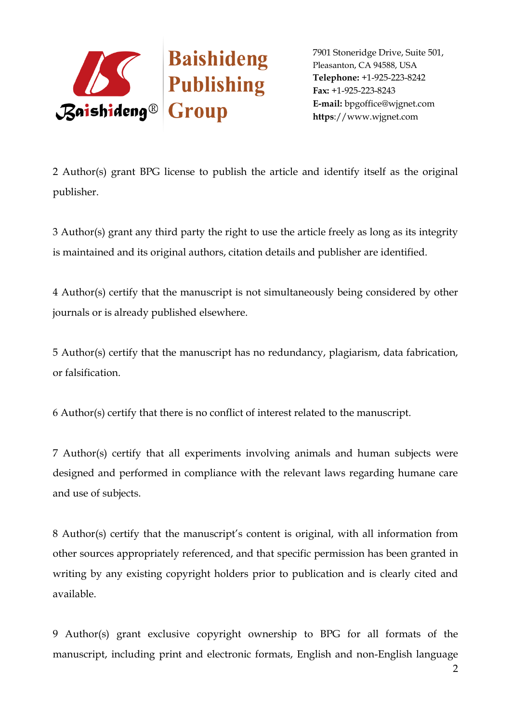

2 Author(s) grant BPG license to publish the article and identify itself as the original publisher.

3 Author(s) grant any third party the right to use the article freely as long as its integrity is maintained and its original authors, citation details and publisher are identified.

4 Author(s) certify that the manuscript is not simultaneously being considered by other journals or is already published elsewhere.

5 Author(s) certify that the manuscript has no redundancy, plagiarism, data fabrication, or falsification.

6 Author(s) certify that there is no conflict of interest related to the manuscript.

7 Author(s) certify that all experiments involving animals and human subjects were designed and performed in compliance with the relevant laws regarding humane care and use of subjects.

8 Author(s) certify that the manuscript's content is original, with all information from other sources appropriately referenced, and that specific permission has been granted in writing by any existing copyright holders prior to publication and is clearly cited and available.

9 Author(s) grant exclusive copyright ownership to BPG for all formats of the manuscript, including print and electronic formats, English and non-English language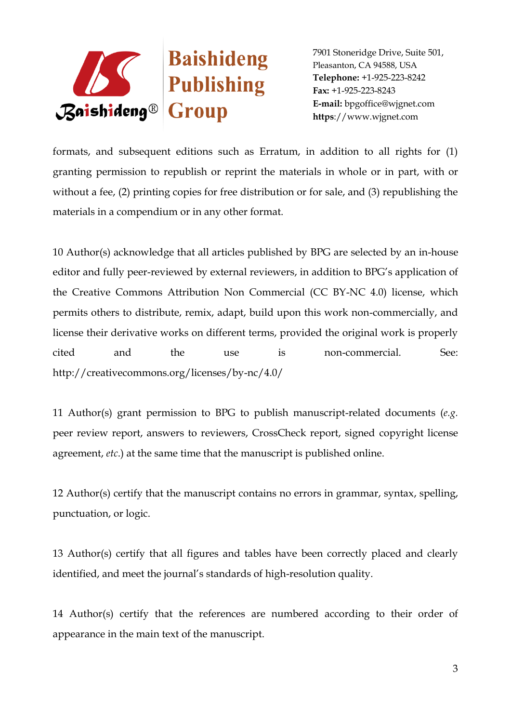

formats, and subsequent editions such as Erratum, in addition to all rights for (1) granting permission to republish or reprint the materials in whole or in part, with or without a fee, (2) printing copies for free distribution or for sale, and (3) republishing the materials in a compendium or in any other format.

10 Author(s) acknowledge that all articles published by BPG are selected by an in-house editor and fully peer-reviewed by external reviewers, in addition to BPG's application of the Creative Commons Attribution Non Commercial (CC BY-NC 4.0) license, which permits others to distribute, remix, adapt, build upon this work non-commercially, and license their derivative works on different terms, provided the original work is properly cited and the use is non-commercial. See: http://creativecommons.org/licenses/by-nc/4.0/

11 Author(s) grant permission to BPG to publish manuscript-related documents (*e.g.* peer review report, answers to reviewers, CrossCheck report, signed copyright license agreement, *etc*.) at the same time that the manuscript is published online.

12 Author(s) certify that the manuscript contains no errors in grammar, syntax, spelling, punctuation, or logic.

13 Author(s) certify that all figures and tables have been correctly placed and clearly identified, and meet the journal's standards of high-resolution quality.

14 Author(s) certify that the references are numbered according to their order of appearance in the main text of the manuscript.